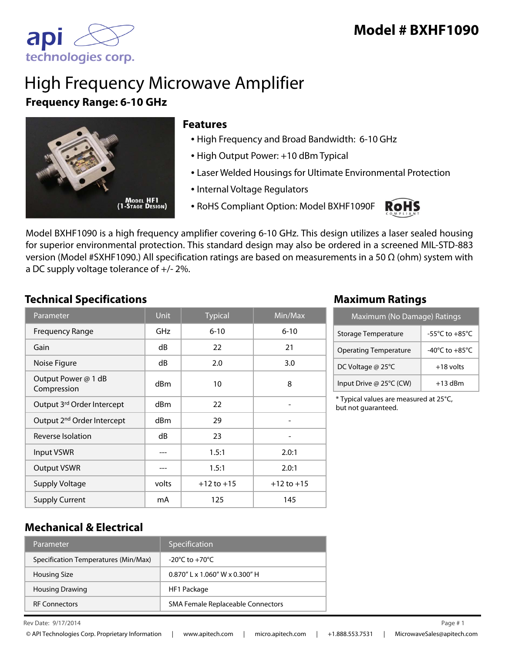

# High Frequency Microwave Amplifier **Frequency Range: 6-10 GHz**



### **Features**

- High Frequency and Broad Bandwidth: 6-10 GHz
- High Output Power: +10 dBm Typical
- Laser Welded Housings for Ultimate Environmental Protection
- Internal Voltage Regulators
- RoHS Compliant Option: Model BXHF1090F



Model BXHF1090 is a high frequency amplifier covering 6-10 GHz. This design utilizes a laser sealed housing for superior environmental protection. This standard design may also be ordered in a screened MIL-STD-883 version (Model #SXHF1090.) All specification ratings are based on measurements in a 50 Ω (ohm) system with a DC supply voltage tolerance of +/- 2%.

## **Technical Specifications Maximum Ratings**

| Parameter                              | <b>Unit</b>     | <b>Typical</b> | $\overline{\textsf{Min}}/\textsf{Max}$ |
|----------------------------------------|-----------------|----------------|----------------------------------------|
| <b>Frequency Range</b>                 | <b>GHz</b>      | $6 - 10$       | $6 - 10$                               |
| Gain                                   | dB              | 22             | 21                                     |
| Noise Figure                           | dB              | 2.0            | 3.0                                    |
| Output Power @ 1 dB<br>Compression     | d <sub>Bm</sub> | 10             | 8                                      |
| Output 3rd Order Intercept             | dBm             | 22             |                                        |
| Output 2 <sup>nd</sup> Order Intercept | d <sub>Bm</sub> | 29             |                                        |
| Reverse Isolation                      | dB              | 23             |                                        |
| <b>Input VSWR</b>                      |                 | 1.5:1          | 2.0:1                                  |
| <b>Output VSWR</b>                     |                 | 1.5:1          | 2.0:1                                  |
| <b>Supply Voltage</b>                  | volts           | $+12$ to $+15$ | $+12$ to $+15$                         |
| <b>Supply Current</b>                  | mA              | 125            | 145                                    |

| Maximum (No Damage) Ratings  |                                      |  |
|------------------------------|--------------------------------------|--|
| Storage Temperature          | -55 $^{\circ}$ C to +85 $^{\circ}$ C |  |
| <b>Operating Temperature</b> | -40 $^{\circ}$ C to +85 $^{\circ}$ C |  |
| DC Voltage @ 25°C            | $+18$ volts                          |  |
| Input Drive @ 25°C (CW)      | $+13$ dBm                            |  |

\* Typical values are measured at 25°C, but not guaranteed.

## **Mechanical & Electrical**

| Parameter                            | Specification                      |
|--------------------------------------|------------------------------------|
| Specification Temperatures (Min/Max) | $-20^{\circ}$ C to $+70^{\circ}$ C |
| Housing Size                         | $0.870''$ L x 1.060" W x 0.300" H  |
| <b>Housing Drawing</b>               | HF1 Package                        |
| <b>RF Connectors</b>                 | SMA Female Replaceable Connectors  |

Rev Date:  $9/17/2014$  Page #1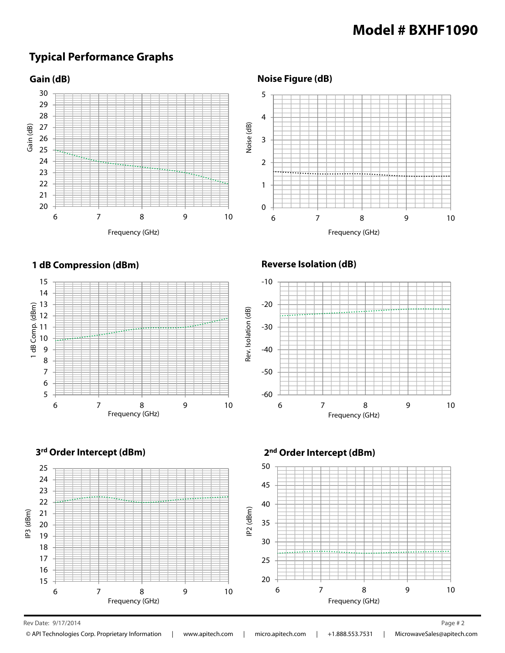## **Model # BXHF1090**

## **Typical Performance Graphs**





### **Reverse Isolation (dB)**